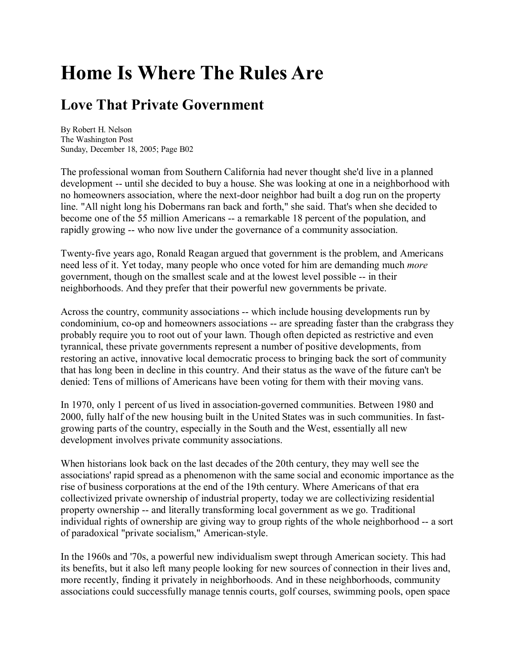## **Home Is Where The Rules Are**

## **Love That Private Government**

By Robert H. Nelson The Washington Post Sunday, December 18, 2005; Page B02

The professional woman from Southern California had never thought she'd live in a planned development -- until she decided to buy a house. She was looking at one in a neighborhood with no homeowners association, where the next-door neighbor had built a dog run on the property line. "All night long his Dobermans ran back and forth," she said. That's when she decided to become one of the 55 million Americans -- a remarkable 18 percent of the population, and rapidly growing -- who now live under the governance of a community association.

Twenty-five years ago, Ronald Reagan argued that government is the problem, and Americans need less of it. Yet today, many people who once voted for him are demanding much *more* government, though on the smallest scale and at the lowest level possible -- in their neighborhoods. And they prefer that their powerful new governments be private.

Across the country, community associations -- which include housing developments run by condominium, co-op and homeowners associations -- are spreading faster than the crabgrass they probably require you to root out of your lawn. Though often depicted as restrictive and even tyrannical, these private governments represent a number of positive developments, from restoring an active, innovative local democratic process to bringing back the sort of community that has long been in decline in this country. And their status as the wave of the future can't be denied: Tens of millions of Americans have been voting for them with their moving vans.

In 1970, only 1 percent of us lived in association-governed communities. Between 1980 and 2000, fully half of the new housing built in the United States was in such communities. In fastgrowing parts of the country, especially in the South and the West, essentially all new development involves private community associations.

When historians look back on the last decades of the 20th century, they may well see the associations' rapid spread as a phenomenon with the same social and economic importance as the rise of business corporations at the end of the 19th century. Where Americans of that era collectivized private ownership of industrial property, today we are collectivizing residential property ownership -- and literally transforming local government as we go. Traditional individual rights of ownership are giving way to group rights of the whole neighborhood -- a sort of paradoxical "private socialism," American-style.

In the 1960s and '70s, a powerful new individualism swept through American society. This had its benefits, but it also left many people looking for new sources of connection in their lives and, more recently, finding it privately in neighborhoods. And in these neighborhoods, community associations could successfully manage tennis courts, golf courses, swimming pools, open space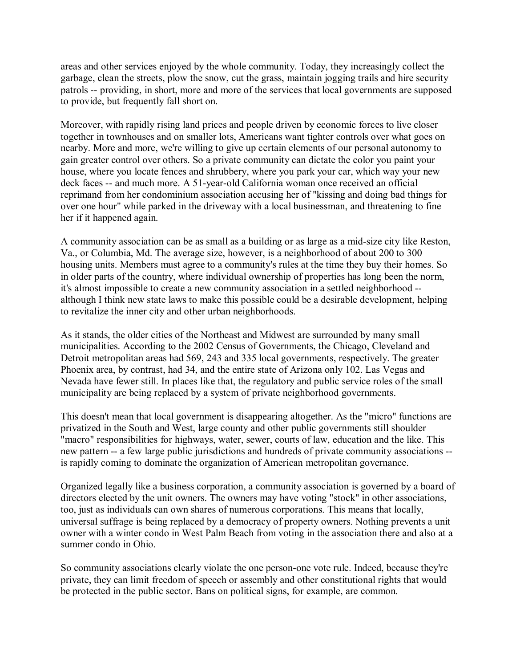areas and other services enjoyed by the whole community. Today, they increasingly collect the garbage, clean the streets, plow the snow, cut the grass, maintain jogging trails and hire security patrols -- providing, in short, more and more of the services that local governments are supposed to provide, but frequently fall short on.

Moreover, with rapidly rising land prices and people driven by economic forces to live closer together in townhouses and on smaller lots, Americans want tighter controls over what goes on nearby. More and more, we're willing to give up certain elements of our personal autonomy to gain greater control over others. So a private community can dictate the color you paint your house, where you locate fences and shrubbery, where you park your car, which way your new deck faces -- and much more. A 51-year-old California woman once received an official reprimand from her condominium association accusing her of "kissing and doing bad things for over one hour" while parked in the driveway with a local businessman, and threatening to fine her if it happened again.

A community association can be as small as a building or as large as a mid-size city like Reston, Va., or Columbia, Md. The average size, however, is a neighborhood of about 200 to 300 housing units. Members must agree to a community's rules at the time they buy their homes. So in older parts of the country, where individual ownership of properties has long been the norm, it's almost impossible to create a new community association in a settled neighborhood - although I think new state laws to make this possible could be a desirable development, helping to revitalize the inner city and other urban neighborhoods.

As it stands, the older cities of the Northeast and Midwest are surrounded by many small municipalities. According to the 2002 Census of Governments, the Chicago, Cleveland and Detroit metropolitan areas had 569, 243 and 335 local governments, respectively. The greater Phoenix area, by contrast, had 34, and the entire state of Arizona only 102. Las Vegas and Nevada have fewer still. In places like that, the regulatory and public service roles of the small municipality are being replaced by a system of private neighborhood governments.

This doesn't mean that local government is disappearing altogether. As the "micro" functions are privatized in the South and West, large county and other public governments still shoulder "macro" responsibilities for highways, water, sewer, courts of law, education and the like. This new pattern -- a few large public jurisdictions and hundreds of private community associations - is rapidly coming to dominate the organization of American metropolitan governance.

Organized legally like a business corporation, a community association is governed by a board of directors elected by the unit owners. The owners may have voting "stock" in other associations, too, just as individuals can own shares of numerous corporations. This means that locally, universal suffrage is being replaced by a democracy of property owners. Nothing prevents a unit owner with a winter condo in West Palm Beach from voting in the association there and also at a summer condo in Ohio.

So community associations clearly violate the one person-one vote rule. Indeed, because they're private, they can limit freedom of speech or assembly and other constitutional rights that would be protected in the public sector. Bans on political signs, for example, are common.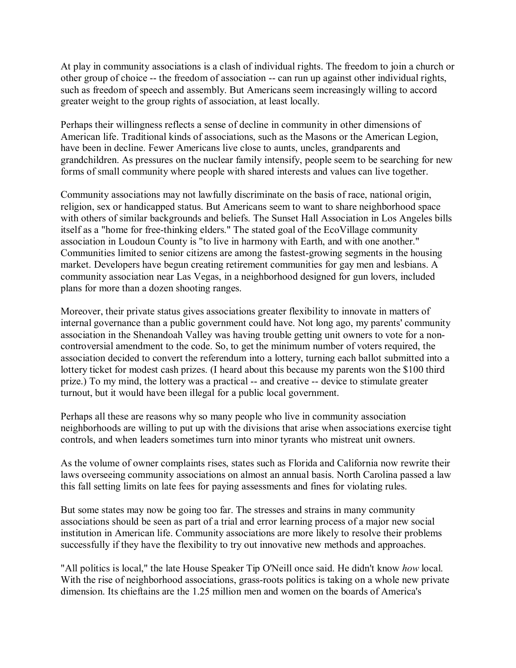At play in community associations is a clash of individual rights. The freedom to join a church or other group of choice -- the freedom of association -- can run up against other individual rights, such as freedom of speech and assembly. But Americans seem increasingly willing to accord greater weight to the group rights of association, at least locally.

Perhaps their willingness reflects a sense of decline in community in other dimensions of American life. Traditional kinds of associations, such as the Masons or the American Legion, have been in decline. Fewer Americans live close to aunts, uncles, grandparents and grandchildren. As pressures on the nuclear family intensify, people seem to be searching for new forms of small community where people with shared interests and values can live together.

Community associations may not lawfully discriminate on the basis of race, national origin, religion, sex or handicapped status. But Americans seem to want to share neighborhood space with others of similar backgrounds and beliefs. The Sunset Hall Association in Los Angeles bills itself as a "home for free-thinking elders." The stated goal of the EcoVillage community association in Loudoun County is "to live in harmony with Earth, and with one another." Communities limited to senior citizens are among the fastest-growing segments in the housing market. Developers have begun creating retirement communities for gay men and lesbians. A community association near Las Vegas, in a neighborhood designed for gun lovers, included plans for more than a dozen shooting ranges.

Moreover, their private status gives associations greater flexibility to innovate in matters of internal governance than a public government could have. Not long ago, my parents' community association in the Shenandoah Valley was having trouble getting unit owners to vote for a noncontroversial amendment to the code. So, to get the minimum number of voters required, the association decided to convert the referendum into a lottery, turning each ballot submitted into a lottery ticket for modest cash prizes. (I heard about this because my parents won the \$100 third prize.) To my mind, the lottery was a practical -- and creative -- device to stimulate greater turnout, but it would have been illegal for a public local government.

Perhaps all these are reasons why so many people who live in community association neighborhoods are willing to put up with the divisions that arise when associations exercise tight controls, and when leaders sometimes turn into minor tyrants who mistreat unit owners.

As the volume of owner complaints rises, states such as Florida and California now rewrite their laws overseeing community associations on almost an annual basis. North Carolina passed a law this fall setting limits on late fees for paying assessments and fines for violating rules.

But some states may now be going too far. The stresses and strains in many community associations should be seen as part of a trial and error learning process of a major new social institution in American life. Community associations are more likely to resolve their problems successfully if they have the flexibility to try out innovative new methods and approaches.

"All politics is local," the late House Speaker Tip O'Neill once said. He didn't know *how* local. With the rise of neighborhood associations, grass-roots politics is taking on a whole new private dimension. Its chieftains are the 1.25 million men and women on the boards of America's